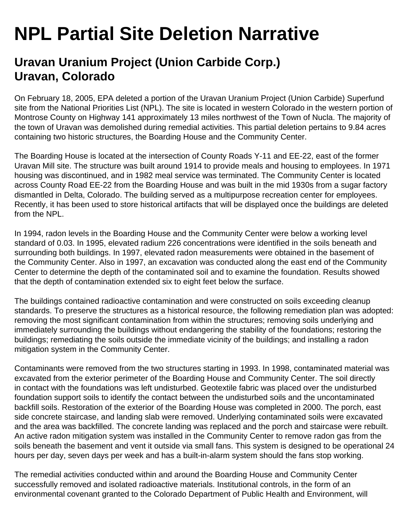## **NPL Partial Site Deletion Narrative**

## **Uravan Uranium Project (Union Carbide Corp.) Uravan, Colorado**

On February 18, 2005, EPA deleted a portion of the Uravan Uranium Project (Union Carbide) Superfund site from the National Priorities List (NPL). The site is located in western Colorado in the western portion of Montrose County on Highway 141 approximately 13 miles northwest of the Town of Nucla. The majority of the town of Uravan was demolished during remedial activities. This partial deletion pertains to 9.84 acres containing two historic structures, the Boarding House and the Community Center.

The Boarding House is located at the intersection of County Roads Y-11 and EE-22, east of the former Uravan Mill site. The structure was built around 1914 to provide meals and housing to employees. In 1971 housing was discontinued, and in 1982 meal service was terminated. The Community Center is located across County Road EE-22 from the Boarding House and was built in the mid 1930s from a sugar factory dismantled in Delta, Colorado. The building served as a multipurpose recreation center for employees. Recently, it has been used to store historical artifacts that will be displayed once the buildings are deleted from the NPL.

In 1994, radon levels in the Boarding House and the Community Center were below a working level standard of 0.03. In 1995, elevated radium 226 concentrations were identified in the soils beneath and surrounding both buildings. In 1997, elevated radon measurements were obtained in the basement of the Community Center. Also in 1997, an excavation was conducted along the east end of the Community Center to determine the depth of the contaminated soil and to examine the foundation. Results showed that the depth of contamination extended six to eight feet below the surface.

The buildings contained radioactive contamination and were constructed on soils exceeding cleanup standards. To preserve the structures as a historical resource, the following remediation plan was adopted: removing the most significant contamination from within the structures; removing soils underlying and immediately surrounding the buildings without endangering the stability of the foundations; restoring the buildings; remediating the soils outside the immediate vicinity of the buildings; and installing a radon mitigation system in the Community Center.

Contaminants were removed from the two structures starting in 1993. In 1998, contaminated material was excavated from the exterior perimeter of the Boarding House and Community Center. The soil directly in contact with the foundations was left undisturbed. Geotextile fabric was placed over the undisturbed foundation support soils to identify the contact between the undisturbed soils and the uncontaminated backfill soils. Restoration of the exterior of the Boarding House was completed in 2000. The porch, east side concrete staircase, and landing slab were removed. Underlying contaminated soils were excavated and the area was backfilled. The concrete landing was replaced and the porch and staircase were rebuilt. An active radon mitigation system was installed in the Community Center to remove radon gas from the soils beneath the basement and vent it outside via small fans. This system is designed to be operational 24 hours per day, seven days per week and has a built-in-alarm system should the fans stop working.

The remedial activities conducted within and around the Boarding House and Community Center successfully removed and isolated radioactive materials. Institutional controls, in the form of an environmental covenant granted to the Colorado Department of Public Health and Environment, will